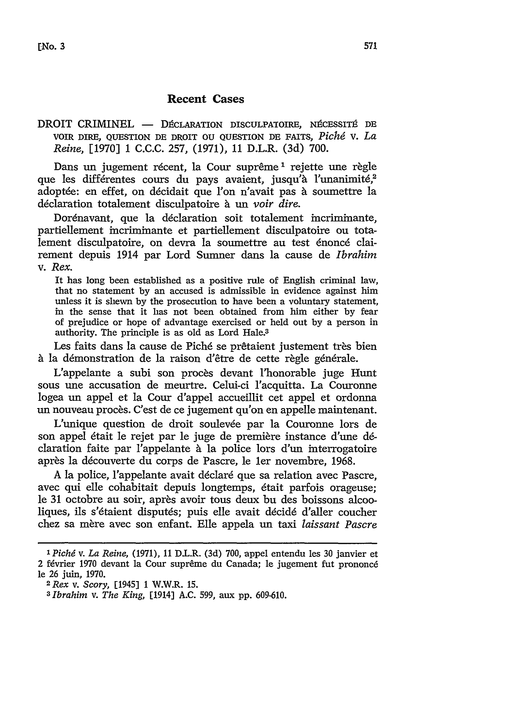## Recent Cases

DROIT CRIMINEL - DÉCLARATION DISCULPATOIRE, NÉCESSITÉ DE VOIR **DIRE, QUESTION DE** DROIT **OU QUESTION DE FAITS,** *Pichg* v. *La Reine,* [1970] 1 **C.C.C. 257, (1971),** 11 D.L.R. **(3d)** 700.

Dans un jugement récent, la Cour suprême<sup>1</sup> rejette une règle que les différentes cours du pays avaient, jusqu'à l'unanimité,<sup>2</sup> adoptée: en effet, on décidait que l'on n'avait pas à soumettre la déclaration totalement disculpatoire à un voir dire.

Dorénavant, que la déclaration soit totalement incriminante, partiellement incriminante et partiellement disculpatoire ou totalement disculpatoire, on devra la soumettre au test énoncé clairement depuis 1914 par Lord Sumner dans la cause de *Ibrahim* v. *Rex.*

It has long been established as a positive rule of English criminal law, that no statement by an accused is admissible in evidence against him unless it is shewn by the prosecution to have been a voluntary statement, in the sense that it has not been obtained from him either by fear of prejudice or hope of advantage exercised or held out by a person in authority. The principle is as old as Lord Hale.<sup>3</sup>

Les faits dans la cause de Piché se prêtaient justement très bien à la démonstration de la raison d'être de cette règle générale.

L'appelante a subi son procès devant l'honorable juge Hunt sous une accusation de meurtre. Celui-ci l'acquitta. La Couronne logea un appel et la Cour d'appel accueillit cet appel et ordonna un nouveau procès. C'est de ce jugement qu'on en appelle maintenant.

L'unique question de droit soulevée par la Couronne lors de son appel 6tait le rejet par le juge de premiere instance d'une **d6** claration faite par 'appelante **t** la police lors d'un interrogatoire après la découverte du corps de Pascre, le 1er novembre, 1968.

A la police, l'appelante avait déclaré que sa relation avec Pascre. avec qui elle cohabitait depuis longtemps, 6tait parfois orageuse; le 31 octobre au soir, après avoir tous deux bu des boissons alcooliques, ils s'étaient disputés; puis elle avait décidé d'aller coucher chez sa mère avec son enfant. Elle appela un taxi *laissant Pascre* 

*I Pichd v. La Reine,* (1971), 11 D.L.R. (3d) 700, appel entendu les 30 janvier et 2 février 1970 devant la Cour suprême du Canada; le jugement fut prononcé le 26 juin, 1970. *2 Rex v. Scory,* [1945] 1 W.W.R. 15.

*<sup>3</sup> Ibrahim v. The King,* [1914] A.C. 599, aux pp. 609-610.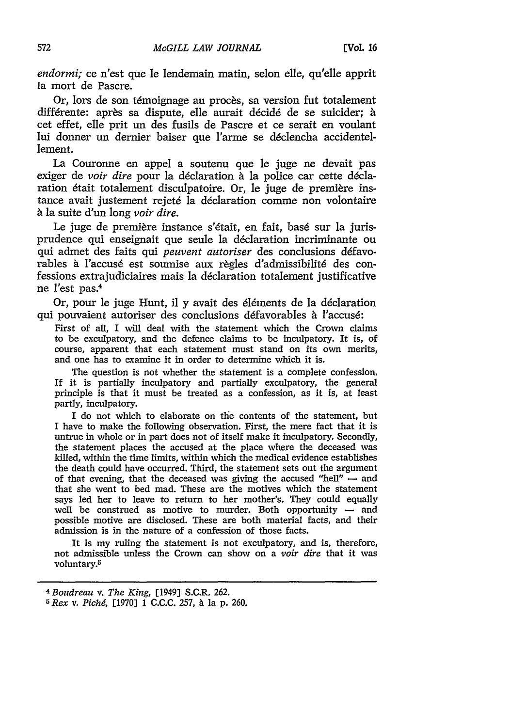*endormi;* ce n'est que le lendemain matin, selon elle, qu'elle apprit la mort de Pascre.

Or, lors de son témoignage au procès, sa version fut totalement différente: après sa dispute, elle aurait décidé de se suicider; à cet effet, elle prit un des fusils de Pascre et ce serait en voulant lui donner un dernier baiser que l'arme se déclencha accidentellement.

La Couronne en appel a soutenu que le juge ne devait pas exiger de *voir dire* pour la déclaration à la police car cette déclaration était totalement disculpatoire. Or, le juge de première instance avait justement rejeté la déclaration comme non volontaire *h* la suite d'un long *voir dire.*

Le juge de première instance s'était, en fait, basé sur la jurisprudence qui enseignait que seule la déclaration incriminante ou qui admet des faits qui *peuvent autoriser* des conclusions défavorables à l'accusé est soumise aux règles d'admissibilité des confessions extrajudiciaires mais la déclaration totalement justificative ne l'est pas.<sup>4</sup>

Or, pour le juge Hunt, il y avait des 616ments de la declaration qui pouvaient autoriser des conclusions défavorables à l'accusé:

First of all, I will deal with the statement which the Crown claims to be exculpatory, and the defence claims to be inculpatory. It is, of course, apparent that each statement must stand on its own merits, and one has to examine it in order to determine which it is.

The question is not whether the statement is a complete confession. If it is partially inculpatory and partially exculpatory, the general principle is that it must be treated as a confession, as it is, at least partly, inculpatory.

I do not which to elaborate on the contents of the statement, but I have to make the following observation. First, the mere fact that it is untrue in whole or in part does not of itself make it inculpatory. Secondly, the statement places the accused at the place where the deceased was killed, within the time limits, within which the medical evidence establishes the death could have occurred. Third, the statement sets out the argument of that evening, that the deceased was giving the accused "hell" **-** and that she went to bed mad. These are the motives which the statement says led her to leave to return to her mother's. They could equally well be construed as motive to murder. Both opportunity  $-$  and possible motive are disclosed. These are both material facts, and their admission is in the nature of a confession of those facts.

It is my ruling the statement is not exculpatory, and is, therefore, not admissible unless the Crown can show on a *voir dire* that it was voluntary.5

*<sup>4</sup> Boudreau v. The King,* [1949] S.C.R. 262.

*<sup>5</sup> Rex v. Pichd,* [1970] 1 C.C.C. 257, h la **p.** 260.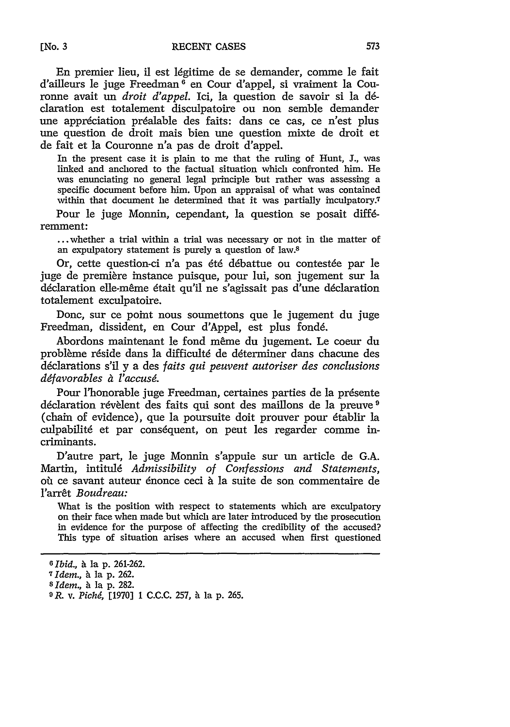En premier lieu, il est 16gitime de se demander, comme le fait d'ailleurs le juge Freedman 6 en Cour d'appel, si vraiment la Couronne avait un *droit d'appel.* Ici, la question de savoir si la **dd**claration est totalement disculpatoire ou non semble demander une appréciation préalable des faits: dans ce cas, ce n'est plus *une* question de droit mais bien une question mixte de droit et de fait et la Couronne n'a pas de droit d'appel.

In the present case it is plain to me that the ruling of Hunt, J., was linked and anchored to the factual situation which confronted him. He was enunciating no general legal principle but rather was assessing a specific document before him. Upon an appraisal of what was contained within that document he determined that it was partially inculpatory.<sup>7</sup>

Pour le juge Monnin, cependant, la question se posait différemment:

**...** whether a trial within a trial was necessary or not in the matter of an expulpatory statement is purely a question of law.8

Or, cette question-ci n'a pas été débattue ou contestée par le juge de premiere instance puisque, pour lui, son jugement sur la déclaration elle-même était qu'il ne s'agissait pas d'une déclaration totalement exculpatoire.

Donc, sur ce point nous soumettons que le jugement du juge Freedman, dissident, en Cour d'Appel, est plus fond6.

Abordons maintenant le fond même du jugement. Le coeur du problème réside dans la difficulté de déterminer dans chacune des declarations s'il y a des *faits qui peuvent autoriser des conclusions ddfavorables & l'accusi.*

Pour l'honorable juge Freedman, certaines parties de la présente déclaration révèlent des faits qui sont des maillons de la preuve <sup>9</sup> (chain of evidence), que la poursuite doit prouver pour 6tablir la culpabilité et par conséquent, on peut les regarder comme incriminants.

D'autre part, le juge Monnin s'appuie sur un article de G.A. Martin, intitulé *Admissibility of Confessions and Statements*, où ce savant auteur énonce ceci à la suite de son commentaire de l'arr6t *Boudreau:*

What is the position with respect to statements which are exculpatory on their face when made but which are later introduced by the prosecution in evidence for the purpose of affecting the credibility of the accused? This type of situation arises where an accused when first questioned

**[No. 3**

*<sup>6</sup> Ibid., h* lap. 261-262.

*<sup>7</sup> Idem.*, à la p. 262.

 $8$ *Idem.*, à la p. 282.

*OR. v. Pichd,* [1970] 1 C.C.C. 257, *h* la p. 265.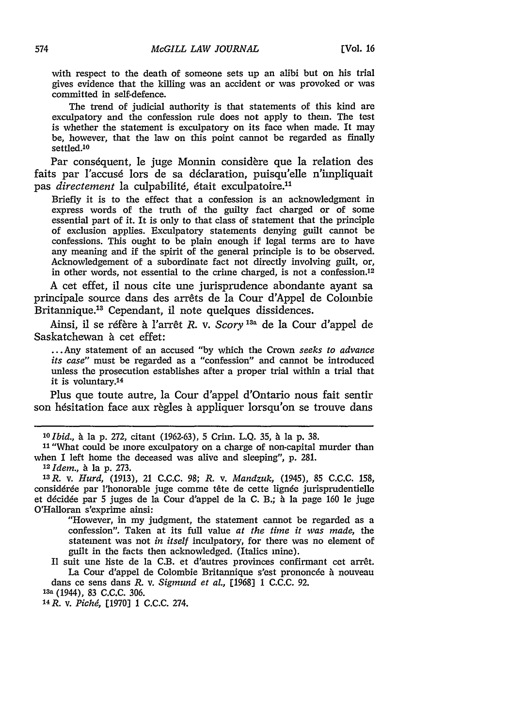with respect to the death of someone sets up an alibi but on his trial gives evidence that the killing was an accident or was provoked or was committed in self-defence.

The trend of judicial authority is that statements of this kind are exculpatory and the confession rule does not apply to them. The test is whether the statement is exculpatory on its face when made. It may *be,* however, that the law on this point cannot be regarded as finally settled.1O

Par conséquent, le juge Monnin considère que la relation des faits par l'accusé lors de sa déclaration, puisqu'elle n'impliquait pas *directement* la culpabilité, était exculpatoire.<sup>11</sup>

Briefly it is to the effect that a confession is an acknowledgment in express words of the truth of the guilty fact charged or of some essential part of it. It is only to that class of statement that the principle of exclusion applies. Exculpatory statements denying guilt cannot be confessions. This ought to be plain enough if legal terms are to have any meaning and if the spirit of the general principle is to be observed. Acknowledgement of a subordinate fact not directly involving guilt, or, in other words, not essential to the crime charged, is not a confession.<sup>12</sup>

A cet effet, il nous cite une jurisprudence abondante ayant sa principale source dans des arrêts de la Cour d'Appel de Colombie Britannique.13 Cependant, il note quelques dissidences.

Ainsi, il se réfère à l'arrêt *R. v. Scory*<sup>13a</sup> de la Cour d'appel de Saskatchewan à cet effet:

... Any statement of an accused "by which the Crown seeks to advance *its case"* must be regarded as a "confession" and cannot be introduced unless the prosecution establishes after a proper trial within a trial that it is voluntary.<sup>14</sup>

Plus que toute autre, la Cour d'appel d'Ontario nous fait sentir son hésitation face aux règles à appliquer lorsqu'on se trouve dans

**<sup>10</sup>***Ibid., h* la p. 272, citant (1962-63), 5 Crim. L.Q. 35, **a** la p. 38.

*<sup>11</sup>*"What could be more exculpatory on a charge of non-capital murder than when I left home the deceased was alive and sleeping", p. 281.

*<sup>12</sup>Idem.,* **A** la p. 273.

*13R. v. Hurd,* (1913), 21 C.C.C. **98;** *R.* v. *Mandzuk,* (1945), 85 C.C.C. 158, considérée par l'honorable juge comme tête de cette lignée jurisprudentielle et ddcidde par 5 juges de la Cour d'appel de la **C.** B.; h la page 160 *le* juge O'Halloran s'exprime ainsi:

"However, in my judgment, the statement cannot be regarded as a confession". Taken at its full value *at the time it was made,* the statement was not *in itself* inculpatory, for there was no element of guilt in the facts then acknowledged. (Italics mine).

Il suit une liste de la C.B. et d'autres provinces confirmant cet arrêt. La Cour d'appel de Colombie Britannique s'est prononcée à nouveau dans ce sens dans *R.* v. *Sigmund et al.,* [1968] 1 **C.C.C.** 92.

**13a** (1944), 83 C.C.C. 306.

*14R.* v. *Pichd,* [1970] 1 **C.C.C.** 274.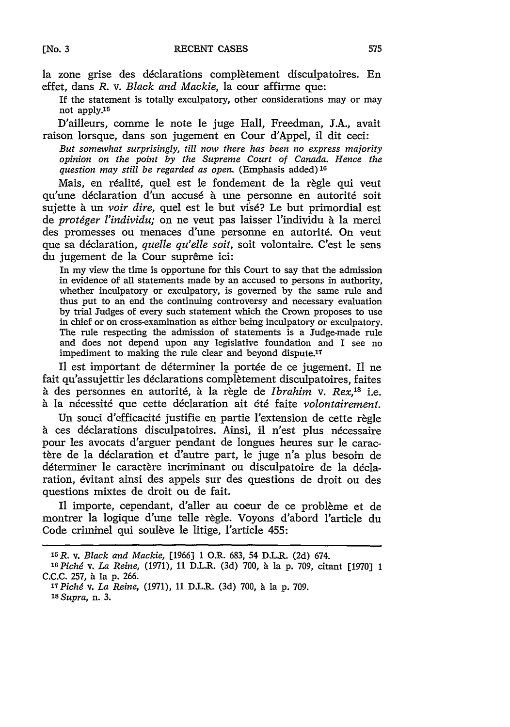la zone grise des déclarations complètement disculpatoires. En effet, dans *R.* v. *Black and Mackie,* la cour affirme que:

If the statement is totally exculpatory, other considerations may or may not apply.<sup>15</sup>

D'ailleurs, comme le note le juge Hall, Freedman, J.A., avait raison lorsque, dans son jugement en Cour d'Appel, il dit ceci:

*But somewhat surprisingly, till now there has been no express majority opinion on the point by the Supreme Court of Canada. Hence the question may still be regarded as open.* (Emphasis added)16

Mais, en réalité, quel est le fondement de la règle qui veut qu'une déclaration d'un accusé à une personne en autorité soit sujette *h* un *voir dire,* quel est le but vis6? Le but primordial est de *protéger l'individu*; on ne veut pas laisser l'individu à la merci des promesses ou menaces d'une personne en autorité. On veut que sa déclaration, *quelle qu'elle soit*, soit volontaire. C'est le sens du jugement de la Cour suprême ici:

In my view the time is opportune for this Court to say that the admission in evidence of all statements made by an accused to persons in authority, whether inculpatory or exculpatory, is governed by the same rule and thus put to an end the continuing controversy and necessary evaluation by trial Judges of every such statement which the Crown proposes to use in chief or on cross-examination as either being inculpatory or exculpatory. The rule respecting the admission of statements is a Judge-made rule and does not depend upon any legislative foundation and I see no impediment to making the rule clear and beyond dispute.<sup>17</sup>

Il est important de déterminer la portée de ce jugement. Il ne fait qu'assujettir les déclarations complètement disculpatoires, faites à des personnes en autorité, à la règle de *Ibrahim* v. Rex,<sup>18</sup> i.e. à la nécessité que cette déclaration ait été faite *volontairement*.

Un souci d'efficacité justifie en partie l'extension de cette règle à ces déclarations disculpatoires. Ainsi, il n'est plus nécessaire pour les avocats d'arguer pendant de longues heures sur le caractère de la déclaration et d'autre part, le juge n'a plus besoin de déterminer le caractère incriminant ou disculpatoire de la déclaration, 6vitant ainsi des appels sur des questions de droit ou des questions mixtes de droit ou de fait.

Il importe, cependant, d'aller au coeur de ce problème et de montrer la logique d'une telle règle. Voyons d'abord l'article du Code criminel qui soulève le litige, l'article 455:

*<sup>15</sup>R. v. Black and Mackie,* [1966] **1** O.R. 683, 54 D.L.R. (2d) 674.

*<sup>&#</sup>x27; <sup>6</sup> Pichd v. La Reine,* (1971), **11** D.L.R. (3d) 700, h la p. 709, citant [1970] **1** C.C.C. 257, à la p. 266.

*<sup>17</sup>Pichd v. La Reine,* (1971), **11** D.L.R. (3d) 700, **A** la p. 709. *<sup>18</sup>Supra,* n. 3.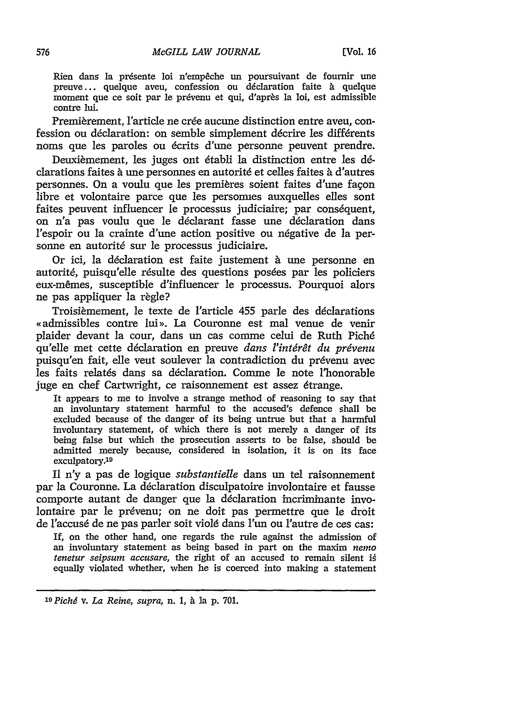Rien dans la présente loi n'empêche un poursuivant de fournir une preuve ... quelque aveu, confession ou déclaration faite à quelque moment que ce soit par le prévenu et qui, d'après la loi, est admissible contre lui.

Premièrement, l'article ne crée aucune distinction entre aveu, confession ou déclaration: on semble simplement décrire les différents noms que les paroles ou dcrits d'une personne peuvent prendre.

Deuxièmement, les juges ont établi la distinction entre les déclarations faites à une personnes en autorité et celles faites à d'autres personnes. On a voulu que les premieres soient faites d'une fagon libre et volontaire parce que les personnes auxquelles elles sont faites peuvent influencer le processus judiciaire; par conséquent, on n'a pas voulu que le déclarant fasse une déclaration dans l'espoir ou la crainte d'une action positive ou négative de la personne en autorité sur le processus judiciaire.

Or ici, la déclaration est faite justement à une personne en autorité, puisqu'elle résulte des questions posées par les policiers eux-mêmes, susceptible d'influencer le processus. Pourquoi alors ne pas appliquer la règle?

Troisièmement, le texte de l'article 455 parle des déclarations «admissibles contre lui». La Couronne est mal venue de venir plaider devant la cour, dans un cas comme celui de Ruth Pich6 qu'elle met cette déclaration en preuve *dans l'intérêt du prévenu* puisqu'en fait, elle veut soulever la contradiction du prévenu avec les faits relatés dans sa déclaration. Comme le note l'honorable juge en chef Cartwright, ce raisonnement est assez 6trange.

It appears to me to involve a strange method of reasoning to say that an involuntary statement harmful to the accused's defence shall be excluded because of the danger of its being untrue but that a harmful involuntary statement, of which there is not merely a danger of its being false but which the prosecution asserts to be false, should be admitted merely because, considered in isolation, it is on its face exculpatory.19

**I1** *n'y* a pas de logique *substantielle* dans un tel raisonnement par la Couronne. La declaration disculpatoire involontaire et fausse comporte autant de danger que la déclaration incriminante involontaire par le prévenu; on ne doit pas permettre que le droit de l'accusé de ne pas parler soit violé dans l'un ou l'autre de ces cas:

If, on the other hand, one regards the rule against the admission of an involuntary statement as being based in part on the maxim *nemo tenetur seipsum accusare, the right of an accused to remain silent is* equally violated whether, when he is coerced into making a statement

*<sup>19</sup>Pichd v. La Reine, supra,* n. 1, & ]a p. 701.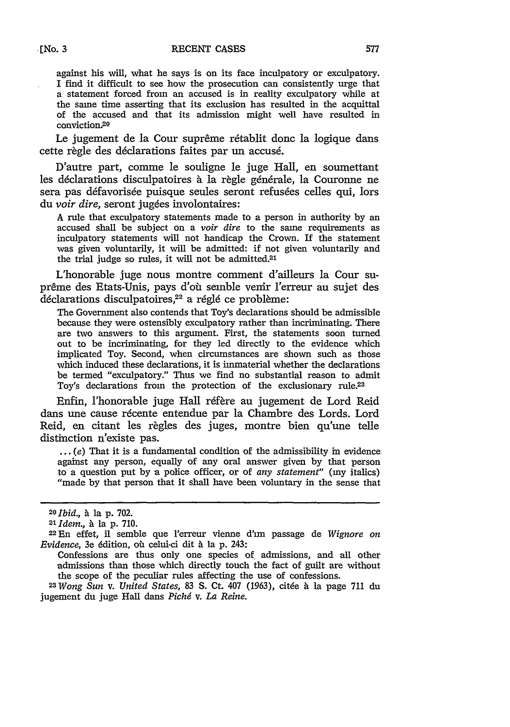against his will, what he says is on its face inculpatory or exculpatory. I find it difficult to see how the prosecution can consistently urge that a statement forced from an accused is in reality exculpatory while at the same time asserting that its exclusion has resulted in the acquittal of the accused and that its admission might well have resulted in conviction.<sup>20</sup>

Le jugement de la Cour suprême rétablit donc la logique dans cette règle des déclarations faites par un accusé.

D'autre part, comme le souligne le juge Hall, en soumettant les déclarations disculpatoires à la règle générale, la Couronne ne sera pas défavorisée puisque seules seront refusées celles qui, lors du *voir dire*, seront jugées involontaires:

A rule that exculpatory statements made to a person in authority by an accused shall be subject on a *voir dire* to the same requirements as inculpatory statements will not handicap the Crown. If the statement was given voluntarily, it will be admitted: if not given voluntarily and the trial judge so rules, it will not be admitted.<sup>2</sup>

L'honorable juge nous montre comment d'aileurs la Cour suprême des Etats-Unis, pays d'où semble venir l'erreur au sujet des  $\det$ déclarations disculpatoires,<sup>22</sup> a réglé ce problème:

The Government also contends that Toy's declarations should be admissible because they were ostensibly exculpatory rather than incriminating. There are two answers to this argument. First, the statements soon turned out to be incriminating, for they led directly to the evidence which implicated Toy. Second, when circumstances are shown such as those which induced these declarations, it is immaterial whether the declarations be termed "exculpatory." Thus we find no substantial reason to admit Toy's declarations from the protection of the exclusionary rule.23

Enfin, l'honorable juge Hall réfère au jugement de Lord Reid dans une cause récente entendue par la Chambre des Lords. Lord Reid, en citant les règles des juges, montre bien qu'une telle distinction n'existe pas.

 $\dots$  (e) That it is a fundamental condition of the admissibility in evidence against any person, equally of any oral answer given by that person to a question put by a police officer, or of *any statement*" (my italics) "made by that person that it shall have been voluntary in the sense that

jugement du juge Hall dans *Pichd v. La Reine.*

**<sup>20</sup>***Ibid., h* lap. 702. *<sup>2</sup> l Idem., h* la **p.** 710.

**<sup>22</sup>En** effet, il semble que l'erreur vienne d'un passage de *Wignore on Evidence*, 3e édition, où celui-ci dit à la p. 243:

Confessions are thus only one species of admissions, and all other admissions than those which directly touch the fact of guilt are without the scope of the peculiar rules affecting the use of confessions.<br><sup>23</sup> *Wong Sun v. United States,* 83 S. Ct. 407 (1963), citée à la page 711 du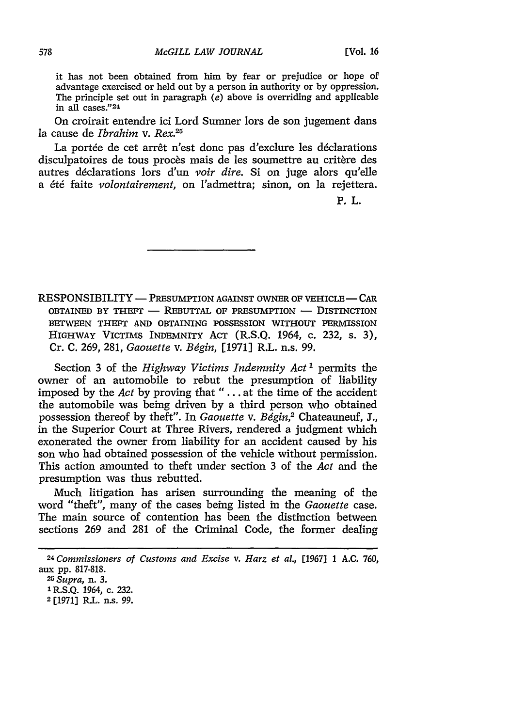it has not been obtained from him by fear or prejudice or hope of advantage exercised or held out by a person in authority or by oppression. The principle set out in paragraph *(e)* above is overriding and applicable in all cases." <sup>24</sup>

On croirait entendre ici Lord Sumner lors de son jugement dans la cause de *Ibrahim v. Rex.<sup>25</sup>*

La portée de cet arrêt n'est donc pas d'exclure les déclarations disculpatoires de tous procès mais de les soumettre au critère des autres declarations lors d'un *voir dire.* Si on juge alors qu'elle a *6t6* faite *volontairement,* on l'admettra; sinon, on la rejettera.

P. L.

RESPONSIBILITY **-** PRESUMPTION AGAINST OWNER OF **VEHICLE -** CAR OBTAINED BY THEFT **-** REBUTTAL OF PRESUMPTION **-** DISTINCTION BETWEEN THEFT **AND** OBTAINING **POSSESSION** WITHOUT PERMISSION HIGHWAY VICTIMS INDEMNITY ACT (R.S.Q. 1964, c. 232, s. 3), Cr. C. **269,** 281, *Gaouette v. Bggin,* [1971] R.L. n.s. **99.**

Section **3** of the *Highway Victims Indemnity Act 1* permits the owner of an automobile to rebut the presumption of liability imposed by the *Act* by proving that *" ...* . at the time of the accident the automobile was being driven by a third person who obtained possession thereof by theft". In *Gaouette v. Bggin,2* Chateauneuf, **J.,** in the Superior Court at Three Rivers, rendered a judgment which exonerated the owner from liability for an accident caused by his son who had obtained possession of the vehicle without permission. This action amounted to theft under section 3 of the *Act* and the presumption was thus rebutted.

Much litigation has arisen surrounding the meaning of the word "theft", many of the cases being listed in the *Gaouette* case. The main source of contention has been the distinction between sections 269 and 281 of the Criminal Code, the former dealing

*<sup>24</sup> Commissioners of Customs and Excise v. Harz et al.,* [1967] 1 A.C. 760, aux pp. 817-818. *<sup>25</sup> Supra,* n. 3.

**<sup>1</sup>** R.S.Q. 1964, c. 232.

**<sup>2</sup>**[1971] R.L. n.s. 99.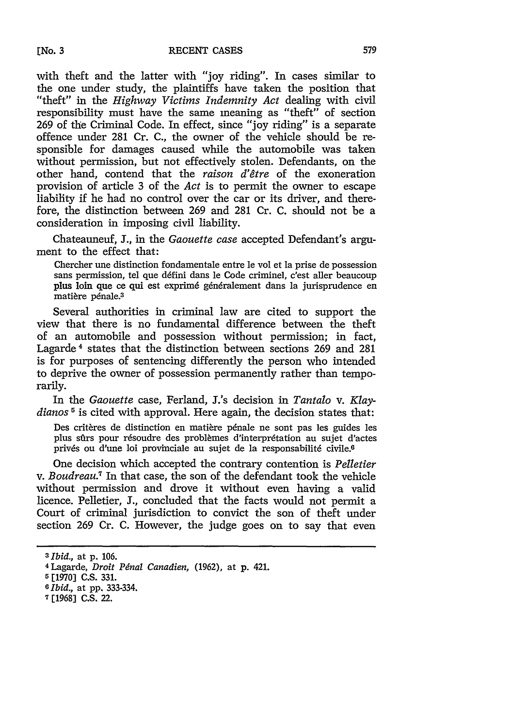with theft and the latter with "joy riding". In cases similar to the one under study, the plaintiffs have taken the position that "theft" in the *Highway Victims Indemnity Act* dealing with civil responsibility must have the same meaning as "theft" of section 269 of the Criminal Code. In effect, since "joy riding" is a separate offence under 281 Cr. C., the owner of the vehicle should be responsible for damages caused while the automobile was taken without permission, but not effectively stolen. Defendants, on the other hand, contend that the *raison d'6tre* of the exoneration provision of article 3 of the *Act* is to permit the owner to escape liability if he had no control over the car or its driver, and therefore, the distinction between 269 and 281 Cr. C. should not be a consideration in imposing civil liability.

Chateauneuf, **J.,** in the *Gaouette case* accepted Defendant's argument to the effect that:

Chercher une distinction fondamentale entre le vol et la prise de possession sans permission, tel que défini dans le Code criminel, c'est aller beaucoup plus loin que ce qui est exprim6 g6n6ralement dans la jurisprudence en matière pénale.<sup>3</sup>

Several authorities in criminal law are cited to support the view that there is no fundamental difference between the theft of an automobile and possession without permission; in fact, Lagarde 4 states that the distinction between sections 269 and 281 is for purposes of sentencing differently the person who intended to deprive the owner of possession permanently rather than temporarily.

In the *Gaouette* case, Ferland, J.'s decision in *Tantalo v. Klaydianos 5* is cited with approval. Here again, the decision states that:

Des critères de distinction en matière pénale ne sont pas les guides les plus sûrs pour résoudre des problèmes d'interprétation au sujet d'actes privés ou d'une loi provinciale au sujet de la responsabilité civile.<sup>6</sup>

One decision which accepted the contrary contention is *Pelletier v. Boudreau.7* In that case, the son of the defendant took the vehicle without permission and drove it without even having a valid licence. Pelletier, J., concluded that the facts would not permit a Court of criminal jurisdiction to convict the son of theft under section 269 Cr. C. However, the judge goes on to say that even

*<sup>3</sup> Ibid.,* at **p. 106.**

<sup>4</sup> Lagarde, *Droit Pdnal Canadien,* (1962), at p. 421.

<sup>&</sup>lt;sup>5</sup> [1970] C.S. 331.

*<sup>6</sup> Ibid.,* at pp. **333-334.**

**<sup>7 [1968]</sup> C.S.** 22.